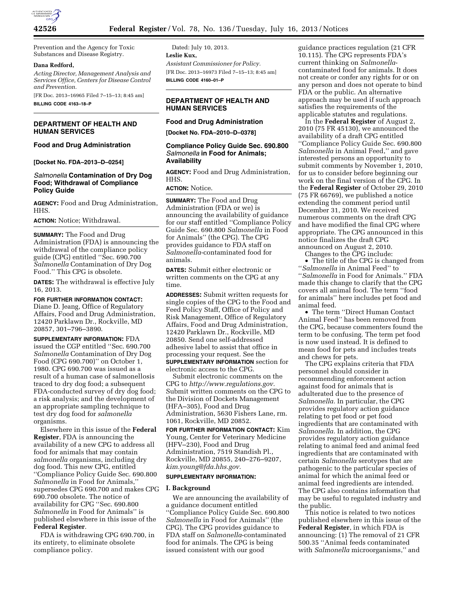

Prevention and the Agency for Toxic Substances and Disease Registry.

#### **Dana Redford,**

*Acting Director, Management Analysis and Services Office, Centers for Disease Control and Prevention.* 

[FR Doc. 2013–16965 Filed 7–15–13; 8:45 am] **BILLING CODE 4163–18–P** 

# **DEPARTMENT OF HEALTH AND HUMAN SERVICES**

# **Food and Drug Administration**

**[Docket No. FDA–2013–D–0254]** 

# *Salmonella* **Contamination of Dry Dog Food; Withdrawal of Compliance Policy Guide**

**AGENCY:** Food and Drug Administration, HHS.

**ACTION:** Notice; Withdrawal.

**SUMMARY:** The Food and Drug Administration (FDA) is announcing the withdrawal of the compliance policy guide (CPG) entitled ''Sec. 690.700 *Salmonella* Contamination of Dry Dog Food.'' This CPG is obsolete.

**DATES:** The withdrawal is effective July 16, 2013.

**FOR FURTHER INFORMATION CONTACT:**  Diane D. Jeang, Office of Regulatory Affairs, Food and Drug Administration, 12420 Parklawn Dr., Rockville, MD 20857, 301–796–3890.

**SUPPLEMENTARY INFORMATION:** FDA issued the CGP entitled ''Sec. 690.700 *Salmonella* Contamination of Dry Dog Food (CPG 690.700)'' on October 1, 1980. CPG 690.700 was issued as a result of a human case of salmonellosis traced to dry dog food; a subsequent FDA-conducted survey of dry dog food; a risk analysis; and the development of an appropriate sampling technique to test dry dog food for *salmonella*  organisms.

Elsewhere in this issue of the **Federal Register**, FDA is announcing the availability of a new CPG to address all food for animals that may contain *salmonella* organisms, including dry dog food. This new CPG, entitled ''Compliance Policy Guide Sec. 690.800 *Salmonella* in Food for Animals,'' supersedes CPG 690.700 and makes CPG 690.700 obsolete. The notice of availability for CPG ''Sec. 690.800 *Salmonella* in Food for Animals'' is published elsewhere in this issue of the **Federal Register**.

FDA is withdrawing CPG 690.700, in its entirety, to eliminate obsolete compliance policy.

Dated: July 10, 2013. **Leslie Kux,**  *Assistant Commissioner for Policy.*  [FR Doc. 2013–16973 Filed 7–15–13; 8:45 am] **BILLING CODE 4160–01–P** 

# **DEPARTMENT OF HEALTH AND HUMAN SERVICES**

# **Food and Drug Administration**

**[Docket No. FDA–2010–D–0378]** 

# **Compliance Policy Guide Sec. 690.800**  *Salmonella* **in Food for Animals; Availability**

**AGENCY:** Food and Drug Administration, HHS.

**ACTION:** Notice.

**SUMMARY:** The Food and Drug Administration (FDA or we) is announcing the availability of guidance for our staff entitled ''Compliance Policy Guide Sec. 690.800 *Salmonella* in Food for Animals'' (the CPG). The CPG provides guidance to FDA staff on *Salmonella*-contaminated food for animals.

**DATES:** Submit either electronic or written comments on the CPG at any time.

**ADDRESSES:** Submit written requests for single copies of the CPG to the Food and Feed Policy Staff, Office of Policy and Risk Management, Office of Regulatory Affairs, Food and Drug Administration, 12420 Parklawn Dr., Rockville, MD 20850. Send one self-addressed adhesive label to assist that office in processing your request. See the **SUPPLEMENTARY INFORMATION** section for electronic access to the CPG.

Submit electronic comments on the CPG to *[http://www.regulations.gov.](http://www.regulations.gov)*  Submit written comments on the CPG to the Division of Dockets Management (HFA–305), Food and Drug Administration, 5630 Fishers Lane, rm. 1061, Rockville, MD 20852.

**FOR FURTHER INFORMATION CONTACT:** Kim Young, Center for Veterinary Medicine (HFV–230), Food and Drug Administration, 7519 Standish Pl., Rockville, MD 20855, 240–276–9207, *[kim.young@fda.hhs.gov.](mailto:kim.young@fda.hhs.gov)* 

# **SUPPLEMENTARY INFORMATION:**

### **I. Background**

We are announcing the availability of a guidance document entitled ''Compliance Policy Guide Sec. 690.800 *Salmonella* in Food for Animals'' (the CPG). The CPG provides guidance to FDA staff on *Salmonella*-contaminated food for animals. The CPG is being issued consistent with our good

guidance practices regulation (21 CFR 10.115). The CPG represents FDA's current thinking on *Salmonella*contaminated food for animals. It does not create or confer any rights for or on any person and does not operate to bind FDA or the public. An alternative approach may be used if such approach satisfies the requirements of the applicable statutes and regulations.

In the **Federal Register** of August 2, 2010 (75 FR 45130), we announced the availability of a draft CPG entitled ''Compliance Policy Guide Sec. 690.800 *Salmonella* in Animal Feed,'' and gave interested persons an opportunity to submit comments by November 1, 2010, for us to consider before beginning our work on the final version of the CPG. In the **Federal Register** of October 29, 2010 (75 FR 66769), we published a notice extending the comment period until December 31, 2010. We received numerous comments on the draft CPG and have modified the final CPG where appropriate. The CPG announced in this notice finalizes the draft CPG announced on August 2, 2010.

Changes to the CPG include:

• The title of the CPG is changed from ''*Salmonella* in Animal Feed'' to ''*Salmonella* in Food for Animals.'' FDA made this change to clarify that the CPG covers all animal food. The term ''food for animals'' here includes pet food and animal feed.

• The term ''Direct Human Contact Animal Feed'' has been removed from the CPG, because commenters found the term to be confusing. The term pet food is now used instead. It is defined to mean food for pets and includes treats and chews for pets.

The CPG explains criteria that FDA personnel should consider in recommending enforcement action against food for animals that is adulterated due to the presence of *Salmonella.* In particular, the CPG provides regulatory action guidance relating to pet food or pet food ingredients that are contaminated with *Salmonella.* In addition, the CPG provides regulatory action guidance relating to animal feed and animal feed ingredients that are contaminated with certain *Salmonella* serotypes that are pathogenic to the particular species of animal for which the animal feed or animal feed ingredients are intended. The CPG also contains information that may be useful to regulated industry and the public.

This notice is related to two notices published elsewhere in this issue of the **Federal Register**, in which FDA is announcing: (1) The removal of 21 CFR 500.35 ''Animal feeds contaminated with *Salmonella* microorganisms,'' and